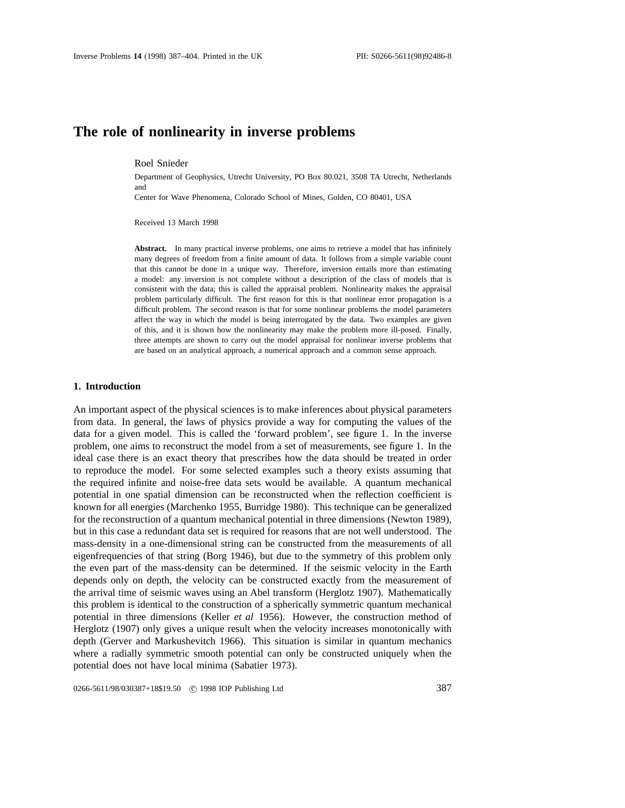# **The role of nonlinearity in inverse problems**

Roel Snieder

Department of Geophysics, Utrecht University, PO Box 80.021, 3508 TA Utrecht, Netherlands and

Center for Wave Phenomena, Colorado School of Mines, Golden, CO 80401, USA

Received 13 March 1998

**Abstract.** In many practical inverse problems, one aims to retrieve a model that has infinitely many degrees of freedom from a finite amount of data. It follows from a simple variable count that this cannot be done in a unique way. Therefore, inversion entails more than estimating a model: any inversion is not complete without a description of the class of models that is consistent with the data; this is called the appraisal problem. Nonlinearity makes the appraisal problem particularly difficult. The first reason for this is that nonlinear error propagation is a difficult problem. The second reason is that for some nonlinear problems the model parameters affect the way in which the model is being interrogated by the data. Two examples are given of this, and it is shown how the nonlinearity may make the problem more ill-posed. Finally, three attempts are shown to carry out the model appraisal for nonlinear inverse problems that are based on an analytical approach, a numerical approach and a common sense approach.

#### **1. Introduction**

An important aspect of the physical sciences is to make inferences about physical parameters from data. In general, the laws of physics provide a way for computing the values of the data for a given model. This is called the 'forward problem', see figure 1. In the inverse problem, one aims to reconstruct the model from a set of measurements, see figure 1. In the ideal case there is an exact theory that prescribes how the data should be treated in order to reproduce the model. For some selected examples such a theory exists assuming that the required infinite and noise-free data sets would be available. A quantum mechanical potential in one spatial dimension can be reconstructed when the reflection coefficient is known for all energies (Marchenko 1955, Burridge 1980). This technique can be generalized for the reconstruction of a quantum mechanical potential in three dimensions (Newton 1989), but in this case a redundant data set is required for reasons that are not well understood. The mass-density in a one-dimensional string can be constructed from the measurements of all eigenfrequencies of that string (Borg 1946), but due to the symmetry of this problem only the even part of the mass-density can be determined. If the seismic velocity in the Earth depends only on depth, the velocity can be constructed exactly from the measurement of the arrival time of seismic waves using an Abel transform (Herglotz 1907). Mathematically this problem is identical to the construction of a spherically symmetric quantum mechanical potential in three dimensions (Keller *et al* 1956). However, the construction method of Herglotz (1907) only gives a unique result when the velocity increases monotonically with depth (Gerver and Markushevitch 1966). This situation is similar in quantum mechanics where a radially symmetric smooth potential can only be constructed uniquely when the potential does not have local minima (Sabatier 1973).

0266-5611/98/030387+18\$19.50 © 1998 IOP Publishing Ltd 387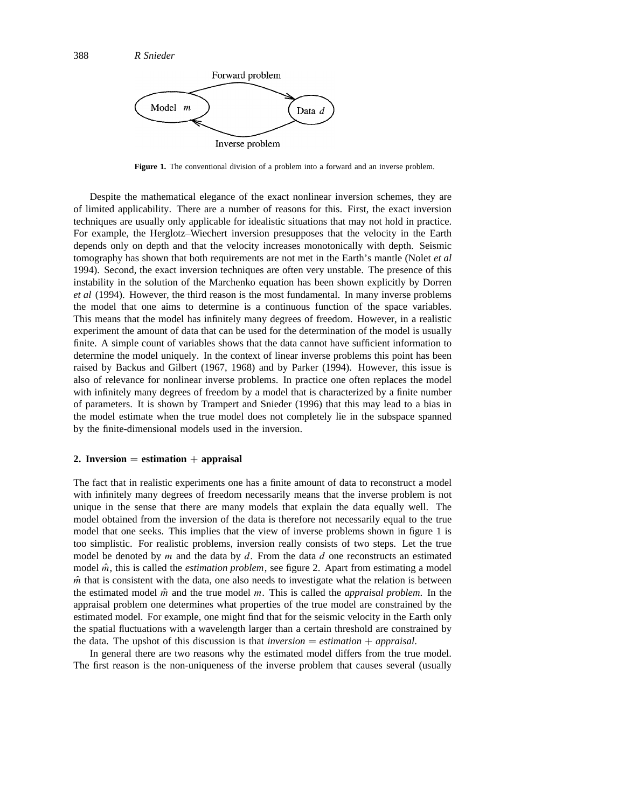

**Figure 1.** The conventional division of a problem into a forward and an inverse problem.

Despite the mathematical elegance of the exact nonlinear inversion schemes, they are of limited applicability. There are a number of reasons for this. First, the exact inversion techniques are usually only applicable for idealistic situations that may not hold in practice. For example, the Herglotz–Wiechert inversion presupposes that the velocity in the Earth depends only on depth and that the velocity increases monotonically with depth. Seismic tomography has shown that both requirements are not met in the Earth's mantle (Nolet *et al* 1994). Second, the exact inversion techniques are often very unstable. The presence of this instability in the solution of the Marchenko equation has been shown explicitly by Dorren *et al* (1994). However, the third reason is the most fundamental. In many inverse problems the model that one aims to determine is a continuous function of the space variables. This means that the model has infinitely many degrees of freedom. However, in a realistic experiment the amount of data that can be used for the determination of the model is usually finite. A simple count of variables shows that the data cannot have sufficient information to determine the model uniquely. In the context of linear inverse problems this point has been raised by Backus and Gilbert (1967, 1968) and by Parker (1994). However, this issue is also of relevance for nonlinear inverse problems. In practice one often replaces the model with infinitely many degrees of freedom by a model that is characterized by a finite number of parameters. It is shown by Trampert and Snieder (1996) that this may lead to a bias in the model estimate when the true model does not completely lie in the subspace spanned by the finite-dimensional models used in the inversion.

#### **2. Inversion** = **estimation** + **appraisal**

The fact that in realistic experiments one has a finite amount of data to reconstruct a model with infinitely many degrees of freedom necessarily means that the inverse problem is not unique in the sense that there are many models that explain the data equally well. The model obtained from the inversion of the data is therefore not necessarily equal to the true model that one seeks. This implies that the view of inverse problems shown in figure 1 is too simplistic. For realistic problems, inversion really consists of two steps. Let the true model be denoted by *m* and the data by *d*. From the data *d* one reconstructs an estimated model  $\hat{m}$ , this is called the *estimation problem*, see figure 2. Apart from estimating a model  $\hat{m}$  that is consistent with the data, one also needs to investigate what the relation is between the estimated model *m*ˆ and the true model *m*. This is called the *appraisal problem*. In the appraisal problem one determines what properties of the true model are constrained by the estimated model. For example, one might find that for the seismic velocity in the Earth only the spatial fluctuations with a wavelength larger than a certain threshold are constrained by the data. The upshot of this discussion is that *inversion* = *estimation* + *appraisal*.

In general there are two reasons why the estimated model differs from the true model. The first reason is the non-uniqueness of the inverse problem that causes several (usually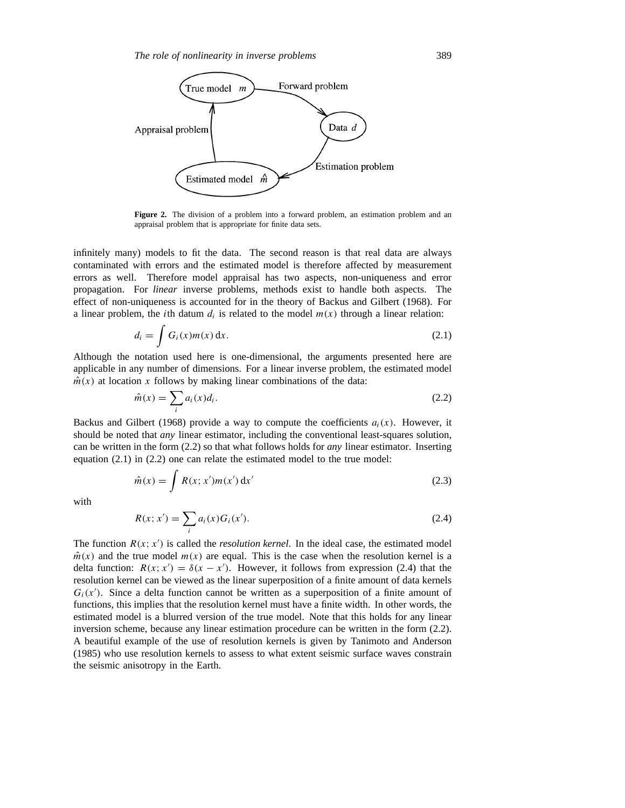

**Figure 2.** The division of a problem into a forward problem, an estimation problem and an appraisal problem that is appropriate for finite data sets.

infinitely many) models to fit the data. The second reason is that real data are always contaminated with errors and the estimated model is therefore affected by measurement errors as well. Therefore model appraisal has two aspects, non-uniqueness and error propagation. For *linear* inverse problems, methods exist to handle both aspects. The effect of non-uniqueness is accounted for in the theory of Backus and Gilbert (1968). For a linear problem, the *i*th datum  $d_i$  is related to the model  $m(x)$  through a linear relation:

$$
d_i = \int G_i(x)m(x) dx.
$$
 (2.1)

Although the notation used here is one-dimensional, the arguments presented here are applicable in any number of dimensions. For a linear inverse problem, the estimated model  $\hat{m}(x)$  at location *x* follows by making linear combinations of the data:

$$
\hat{m}(x) = \sum_{i} a_i(x) d_i.
$$
\n(2.2)

Backus and Gilbert (1968) provide a way to compute the coefficients  $a_i(x)$ . However, it should be noted that *any* linear estimator, including the conventional least-squares solution, can be written in the form (2.2) so that what follows holds for *any* linear estimator. Inserting equation  $(2.1)$  in  $(2.2)$  one can relate the estimated model to the true model:

$$
\hat{m}(x) = \int R(x; x')m(x') dx'
$$
\n(2.3)

with

$$
R(x; x') = \sum_{i} a_i(x) G_i(x').
$$
 (2.4)

The function  $R(x; x')$  is called the *resolution kernel*. In the ideal case, the estimated model  $\hat{m}(x)$  and the true model  $m(x)$  are equal. This is the case when the resolution kernel is a delta function:  $R(x; x') = \delta(x - x')$ . However, it follows from expression (2.4) that the resolution kernel can be viewed as the linear superposition of a finite amount of data kernels  $G_i(x')$ . Since a delta function cannot be written as a superposition of a finite amount of functions, this implies that the resolution kernel must have a finite width. In other words, the estimated model is a blurred version of the true model. Note that this holds for any linear inversion scheme, because any linear estimation procedure can be written in the form (2.2). A beautiful example of the use of resolution kernels is given by Tanimoto and Anderson (1985) who use resolution kernels to assess to what extent seismic surface waves constrain the seismic anisotropy in the Earth.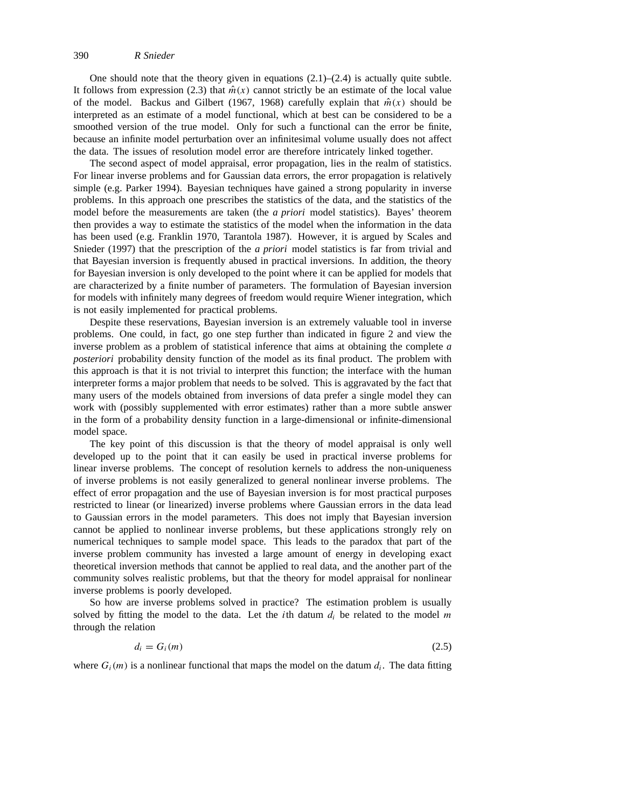One should note that the theory given in equations  $(2.1)$ – $(2.4)$  is actually quite subtle. It follows from expression (2.3) that  $\hat{m}(x)$  cannot strictly be an estimate of the local value of the model. Backus and Gilbert (1967, 1968) carefully explain that  $\hat{m}(x)$  should be interpreted as an estimate of a model functional, which at best can be considered to be a smoothed version of the true model. Only for such a functional can the error be finite, because an infinite model perturbation over an infinitesimal volume usually does not affect the data. The issues of resolution model error are therefore intricately linked together.

The second aspect of model appraisal, error propagation, lies in the realm of statistics. For linear inverse problems and for Gaussian data errors, the error propagation is relatively simple (e.g. Parker 1994). Bayesian techniques have gained a strong popularity in inverse problems. In this approach one prescribes the statistics of the data, and the statistics of the model before the measurements are taken (the *a priori* model statistics). Bayes' theorem then provides a way to estimate the statistics of the model when the information in the data has been used (e.g. Franklin 1970, Tarantola 1987). However, it is argued by Scales and Snieder (1997) that the prescription of the *a priori* model statistics is far from trivial and that Bayesian inversion is frequently abused in practical inversions. In addition, the theory for Bayesian inversion is only developed to the point where it can be applied for models that are characterized by a finite number of parameters. The formulation of Bayesian inversion for models with infinitely many degrees of freedom would require Wiener integration, which is not easily implemented for practical problems.

Despite these reservations, Bayesian inversion is an extremely valuable tool in inverse problems. One could, in fact, go one step further than indicated in figure 2 and view the inverse problem as a problem of statistical inference that aims at obtaining the complete *a posteriori* probability density function of the model as its final product. The problem with this approach is that it is not trivial to interpret this function; the interface with the human interpreter forms a major problem that needs to be solved. This is aggravated by the fact that many users of the models obtained from inversions of data prefer a single model they can work with (possibly supplemented with error estimates) rather than a more subtle answer in the form of a probability density function in a large-dimensional or infinite-dimensional model space.

The key point of this discussion is that the theory of model appraisal is only well developed up to the point that it can easily be used in practical inverse problems for linear inverse problems. The concept of resolution kernels to address the non-uniqueness of inverse problems is not easily generalized to general nonlinear inverse problems. The effect of error propagation and the use of Bayesian inversion is for most practical purposes restricted to linear (or linearized) inverse problems where Gaussian errors in the data lead to Gaussian errors in the model parameters. This does not imply that Bayesian inversion cannot be applied to nonlinear inverse problems, but these applications strongly rely on numerical techniques to sample model space. This leads to the paradox that part of the inverse problem community has invested a large amount of energy in developing exact theoretical inversion methods that cannot be applied to real data, and the another part of the community solves realistic problems, but that the theory for model appraisal for nonlinear inverse problems is poorly developed.

So how are inverse problems solved in practice? The estimation problem is usually solved by fitting the model to the data. Let the *i*th datum  $d_i$  be related to the model m through the relation

$$
d_i = G_i(m) \tag{2.5}
$$

where  $G_i(m)$  is a nonlinear functional that maps the model on the datum  $d_i$ . The data fitting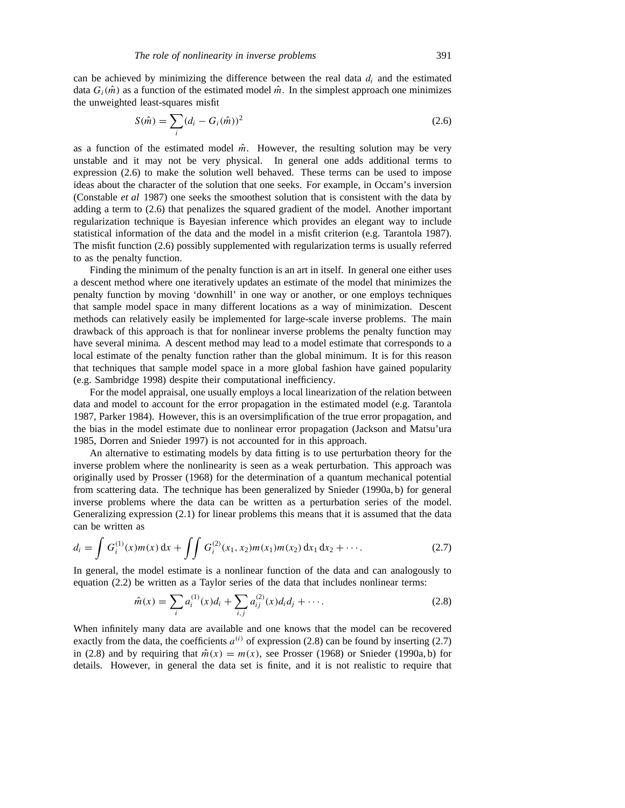can be achieved by minimizing the difference between the real data  $d_i$  and the estimated data  $G_i(\hat{m})$  as a function of the estimated model  $\hat{m}$ . In the simplest approach one minimizes the unweighted least-squares misfit

$$
S(\hat{m}) = \sum_{i} (d_i - G_i(\hat{m}))^2
$$
 (2.6)

as a function of the estimated model  $\hat{m}$ . However, the resulting solution may be very unstable and it may not be very physical. In general one adds additional terms to expression (2.6) to make the solution well behaved. These terms can be used to impose ideas about the character of the solution that one seeks. For example, in Occam's inversion (Constable *et al* 1987) one seeks the smoothest solution that is consistent with the data by adding a term to (2.6) that penalizes the squared gradient of the model. Another important regularization technique is Bayesian inference which provides an elegant way to include statistical information of the data and the model in a misfit criterion (e.g. Tarantola 1987). The misfit function (2.6) possibly supplemented with regularization terms is usually referred to as the penalty function.

Finding the minimum of the penalty function is an art in itself. In general one either uses a descent method where one iteratively updates an estimate of the model that minimizes the penalty function by moving 'downhill' in one way or another, or one employs techniques that sample model space in many different locations as a way of minimization. Descent methods can relatively easily be implemented for large-scale inverse problems. The main drawback of this approach is that for nonlinear inverse problems the penalty function may have several minima. A descent method may lead to a model estimate that corresponds to a local estimate of the penalty function rather than the global minimum. It is for this reason that techniques that sample model space in a more global fashion have gained popularity (e.g. Sambridge 1998) despite their computational inefficiency.

For the model appraisal, one usually employs a local linearization of the relation between data and model to account for the error propagation in the estimated model (e.g. Tarantola 1987, Parker 1984). However, this is an oversimplification of the true error propagation, and the bias in the model estimate due to nonlinear error propagation (Jackson and Matsu'ura 1985, Dorren and Snieder 1997) is not accounted for in this approach.

An alternative to estimating models by data fitting is to use perturbation theory for the inverse problem where the nonlinearity is seen as a weak perturbation. This approach was originally used by Prosser (1968) for the determination of a quantum mechanical potential from scattering data. The technique has been generalized by Snieder (1990a, b) for general inverse problems where the data can be written as a perturbation series of the model. Generalizing expression (2.1) for linear problems this means that it is assumed that the data can be written as

$$
d_i = \int G_i^{(1)}(x)m(x) dx + \int \int G_i^{(2)}(x_1, x_2)m(x_1)m(x_2) dx_1 dx_2 + \cdots
$$
 (2.7)

In general, the model estimate is a nonlinear function of the data and can analogously to equation (2.2) be written as a Taylor series of the data that includes nonlinear terms:

$$
\hat{m}(x) = \sum_{i} a_i^{(1)}(x)d_i + \sum_{i,j} a_{ij}^{(2)}(x)d_i d_j + \cdots.
$$
 (2.8)

When infinitely many data are available and one knows that the model can be recovered exactly from the data, the coefficients  $a^{(i)}$  of expression (2.8) can be found by inserting (2.7) in (2.8) and by requiring that  $\hat{m}(x) = m(x)$ , see Prosser (1968) or Snieder (1990a, b) for details. However, in general the data set is finite, and it is not realistic to require that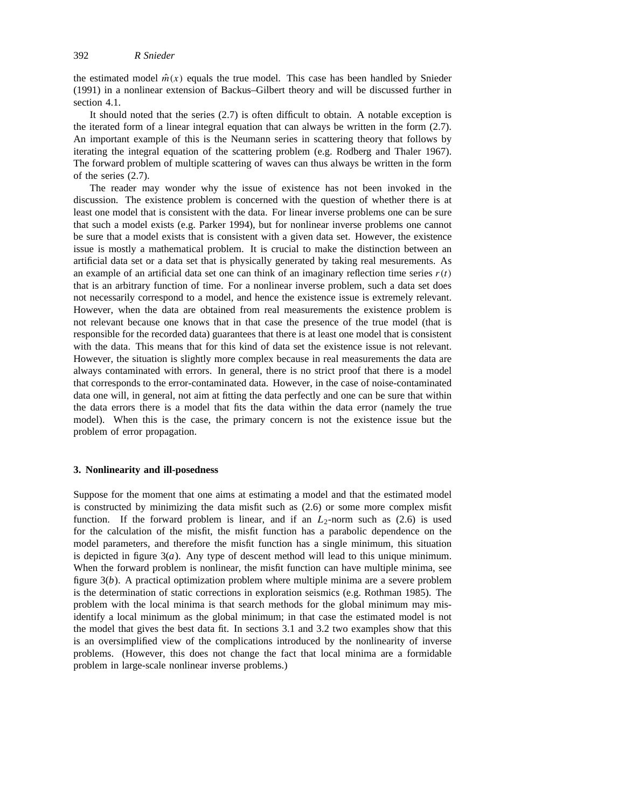the estimated model  $\hat{m}(x)$  equals the true model. This case has been handled by Snieder (1991) in a nonlinear extension of Backus–Gilbert theory and will be discussed further in section 4.1.

It should noted that the series (2.7) is often difficult to obtain. A notable exception is the iterated form of a linear integral equation that can always be written in the form  $(2.7)$ . An important example of this is the Neumann series in scattering theory that follows by iterating the integral equation of the scattering problem (e.g. Rodberg and Thaler 1967). The forward problem of multiple scattering of waves can thus always be written in the form of the series (2.7).

The reader may wonder why the issue of existence has not been invoked in the discussion. The existence problem is concerned with the question of whether there is at least one model that is consistent with the data. For linear inverse problems one can be sure that such a model exists (e.g. Parker 1994), but for nonlinear inverse problems one cannot be sure that a model exists that is consistent with a given data set. However, the existence issue is mostly a mathematical problem. It is crucial to make the distinction between an artificial data set or a data set that is physically generated by taking real mesurements. As an example of an artificial data set one can think of an imaginary reflection time series  $r(t)$ that is an arbitrary function of time. For a nonlinear inverse problem, such a data set does not necessarily correspond to a model, and hence the existence issue is extremely relevant. However, when the data are obtained from real measurements the existence problem is not relevant because one knows that in that case the presence of the true model (that is responsible for the recorded data) guarantees that there is at least one model that is consistent with the data. This means that for this kind of data set the existence issue is not relevant. However, the situation is slightly more complex because in real measurements the data are always contaminated with errors. In general, there is no strict proof that there is a model that corresponds to the error-contaminated data. However, in the case of noise-contaminated data one will, in general, not aim at fitting the data perfectly and one can be sure that within the data errors there is a model that fits the data within the data error (namely the true model). When this is the case, the primary concern is not the existence issue but the problem of error propagation.

## **3. Nonlinearity and ill-posedness**

Suppose for the moment that one aims at estimating a model and that the estimated model is constructed by minimizing the data misfit such as (2.6) or some more complex misfit function. If the forward problem is linear, and if an  $L_2$ -norm such as  $(2.6)$  is used for the calculation of the misfit, the misfit function has a parabolic dependence on the model parameters, and therefore the misfit function has a single minimum, this situation is depicted in figure  $3(a)$ . Any type of descent method will lead to this unique minimum. When the forward problem is nonlinear, the misfit function can have multiple minima, see figure 3(*b*). A practical optimization problem where multiple minima are a severe problem is the determination of static corrections in exploration seismics (e.g. Rothman 1985). The problem with the local minima is that search methods for the global minimum may misidentify a local minimum as the global minimum; in that case the estimated model is not the model that gives the best data fit. In sections 3.1 and 3.2 two examples show that this is an oversimplified view of the complications introduced by the nonlinearity of inverse problems. (However, this does not change the fact that local minima are a formidable problem in large-scale nonlinear inverse problems.)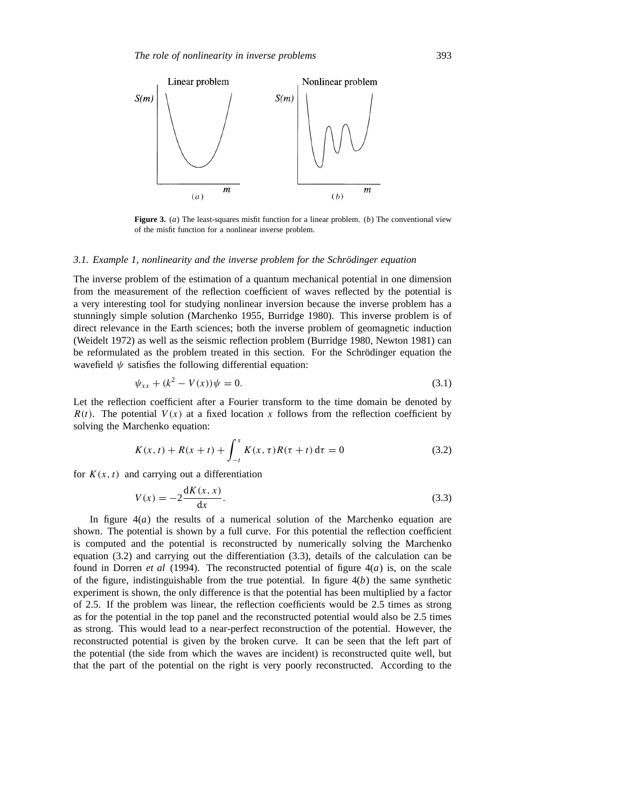

**Figure 3.** (*a*) The least-squares misfit function for a linear problem. (*b*) The conventional view of the misfit function for a nonlinear inverse problem.

#### *3.1. Example 1, nonlinearity and the inverse problem for the Schrödinger equation*

The inverse problem of the estimation of a quantum mechanical potential in one dimension from the measurement of the reflection coefficient of waves reflected by the potential is a very interesting tool for studying nonlinear inversion because the inverse problem has a stunningly simple solution (Marchenko 1955, Burridge 1980). This inverse problem is of direct relevance in the Earth sciences; both the inverse problem of geomagnetic induction (Weidelt 1972) as well as the seismic reflection problem (Burridge 1980, Newton 1981) can be reformulated as the problem treated in this section. For the Schrödinger equation the wavefield  $\psi$  satisfies the following differential equation:

$$
\psi_{xx} + (k^2 - V(x))\psi = 0.
$$
\n(3.1)

Let the reflection coefficient after a Fourier transform to the time domain be denoted by  $R(t)$ . The potential  $V(x)$  at a fixed location x follows from the reflection coefficient by solving the Marchenko equation:

$$
K(x, t) + R(x + t) + \int_{-t}^{x} K(x, \tau)R(\tau + t) d\tau = 0
$$
\n(3.2)

for  $K(x, t)$  and carrying out a differentiation

$$
V(x) = -2\frac{dK(x, x)}{dx}.
$$
 (3.3)

In figure 4(*a*) the results of a numerical solution of the Marchenko equation are shown. The potential is shown by a full curve. For this potential the reflection coefficient is computed and the potential is reconstructed by numerically solving the Marchenko equation (3.2) and carrying out the differentiation (3.3), details of the calculation can be found in Dorren *et al* (1994). The reconstructed potential of figure 4(*a*) is, on the scale of the figure, indistinguishable from the true potential. In figure  $4(b)$  the same synthetic experiment is shown, the only difference is that the potential has been multiplied by a factor of 2.5. If the problem was linear, the reflection coefficients would be 2.5 times as strong as for the potential in the top panel and the reconstructed potential would also be 2.5 times as strong. This would lead to a near-perfect reconstruction of the potential. However, the reconstructed potential is given by the broken curve. It can be seen that the left part of the potential (the side from which the waves are incident) is reconstructed quite well, but that the part of the potential on the right is very poorly reconstructed. According to the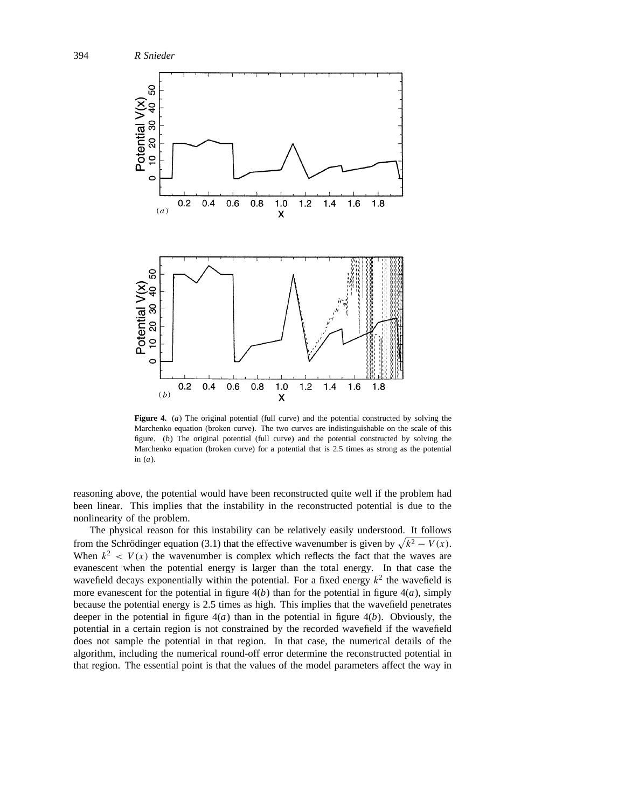

**Figure 4.** (*a*) The original potential (full curve) and the potential constructed by solving the Marchenko equation (broken curve). The two curves are indistinguishable on the scale of this figure. (*b*) The original potential (full curve) and the potential constructed by solving the Marchenko equation (broken curve) for a potential that is 2.5 times as strong as the potential in (*a*).

reasoning above, the potential would have been reconstructed quite well if the problem had been linear. This implies that the instability in the reconstructed potential is due to the nonlinearity of the problem.

The physical reason for this instability can be relatively easily understood. It follows from the Schrödinger equation (3.1) that the effective wavenumber is given by  $\sqrt{k^2 - V(x)}$ . When  $k^2 < V(x)$  the wavenumber is complex which reflects the fact that the waves are evanescent when the potential energy is larger than the total energy. In that case the wavefield decays exponentially within the potential. For a fixed energy  $k^2$  the wavefield is more evanescent for the potential in figure  $4(b)$  than for the potential in figure  $4(a)$ , simply because the potential energy is 2.5 times as high. This implies that the wavefield penetrates deeper in the potential in figure  $4(a)$  than in the potential in figure  $4(b)$ . Obviously, the potential in a certain region is not constrained by the recorded wavefield if the wavefield does not sample the potential in that region. In that case, the numerical details of the algorithm, including the numerical round-off error determine the reconstructed potential in that region. The essential point is that the values of the model parameters affect the way in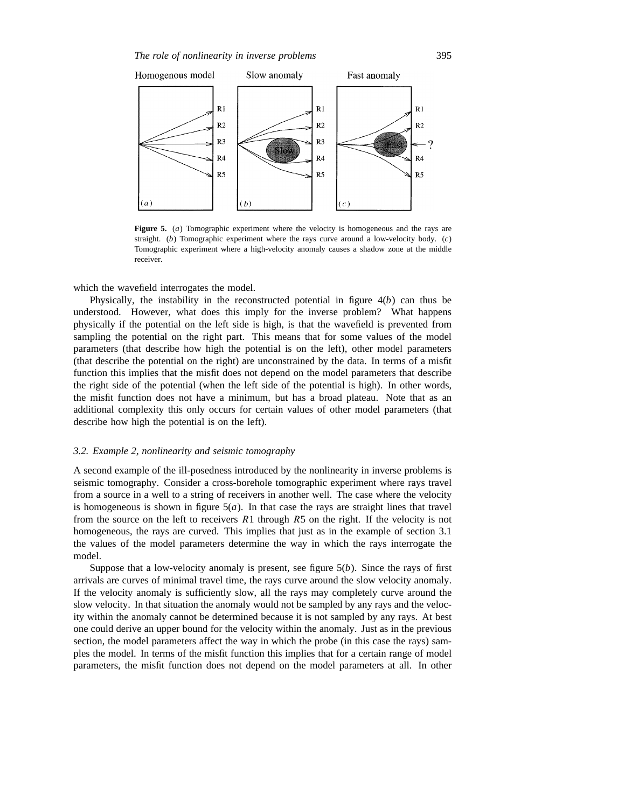

**Figure 5.** (*a*) Tomographic experiment where the velocity is homogeneous and the rays are straight. (*b*) Tomographic experiment where the rays curve around a low-velocity body. (*c*) Tomographic experiment where a high-velocity anomaly causes a shadow zone at the middle receiver.

which the wavefield interrogates the model.

Physically, the instability in the reconstructed potential in figure  $4(b)$  can thus be understood. However, what does this imply for the inverse problem? What happens physically if the potential on the left side is high, is that the wavefield is prevented from sampling the potential on the right part. This means that for some values of the model parameters (that describe how high the potential is on the left), other model parameters (that describe the potential on the right) are unconstrained by the data. In terms of a misfit function this implies that the misfit does not depend on the model parameters that describe the right side of the potential (when the left side of the potential is high). In other words, the misfit function does not have a minimum, but has a broad plateau. Note that as an additional complexity this only occurs for certain values of other model parameters (that describe how high the potential is on the left).

### *3.2. Example 2, nonlinearity and seismic tomography*

A second example of the ill-posedness introduced by the nonlinearity in inverse problems is seismic tomography. Consider a cross-borehole tomographic experiment where rays travel from a source in a well to a string of receivers in another well. The case where the velocity is homogeneous is shown in figure  $5(a)$ . In that case the rays are straight lines that travel from the source on the left to receivers *R*1 through *R*5 on the right. If the velocity is not homogeneous, the rays are curved. This implies that just as in the example of section 3.1 the values of the model parameters determine the way in which the rays interrogate the model.

Suppose that a low-velocity anomaly is present, see figure 5(*b*). Since the rays of first arrivals are curves of minimal travel time, the rays curve around the slow velocity anomaly. If the velocity anomaly is sufficiently slow, all the rays may completely curve around the slow velocity. In that situation the anomaly would not be sampled by any rays and the velocity within the anomaly cannot be determined because it is not sampled by any rays. At best one could derive an upper bound for the velocity within the anomaly. Just as in the previous section, the model parameters affect the way in which the probe (in this case the rays) samples the model. In terms of the misfit function this implies that for a certain range of model parameters, the misfit function does not depend on the model parameters at all. In other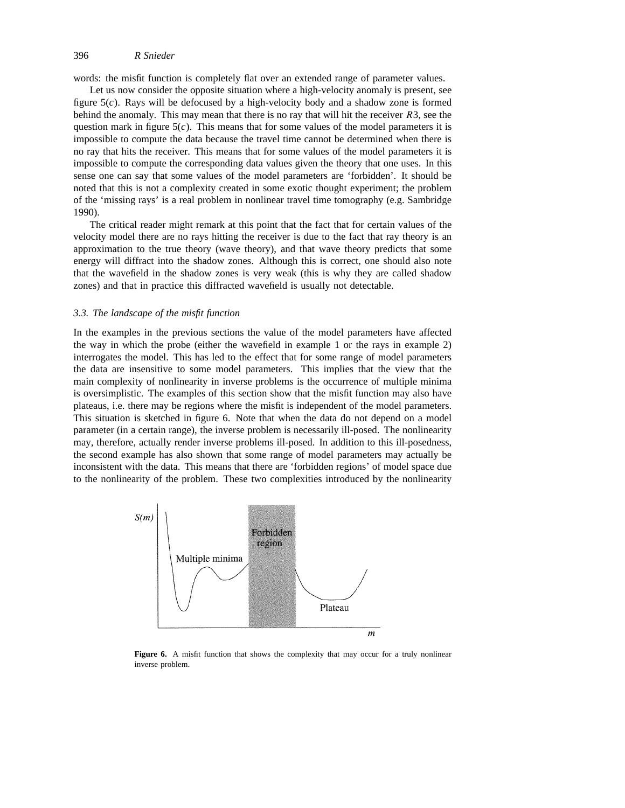words: the misfit function is completely flat over an extended range of parameter values.

Let us now consider the opposite situation where a high-velocity anomaly is present, see figure 5(*c*). Rays will be defocused by a high-velocity body and a shadow zone is formed behind the anomaly. This may mean that there is no ray that will hit the receiver *R*3, see the question mark in figure  $5(c)$ . This means that for some values of the model parameters it is impossible to compute the data because the travel time cannot be determined when there is no ray that hits the receiver. This means that for some values of the model parameters it is impossible to compute the corresponding data values given the theory that one uses. In this sense one can say that some values of the model parameters are 'forbidden'. It should be noted that this is not a complexity created in some exotic thought experiment; the problem of the 'missing rays' is a real problem in nonlinear travel time tomography (e.g. Sambridge 1990).

The critical reader might remark at this point that the fact that for certain values of the velocity model there are no rays hitting the receiver is due to the fact that ray theory is an approximation to the true theory (wave theory), and that wave theory predicts that some energy will diffract into the shadow zones. Although this is correct, one should also note that the wavefield in the shadow zones is very weak (this is why they are called shadow zones) and that in practice this diffracted wavefield is usually not detectable.

## *3.3. The landscape of the misfit function*

In the examples in the previous sections the value of the model parameters have affected the way in which the probe (either the wavefield in example 1 or the rays in example 2) interrogates the model. This has led to the effect that for some range of model parameters the data are insensitive to some model parameters. This implies that the view that the main complexity of nonlinearity in inverse problems is the occurrence of multiple minima is oversimplistic. The examples of this section show that the misfit function may also have plateaus, i.e. there may be regions where the misfit is independent of the model parameters. This situation is sketched in figure 6. Note that when the data do not depend on a model parameter (in a certain range), the inverse problem is necessarily ill-posed. The nonlinearity may, therefore, actually render inverse problems ill-posed. In addition to this ill-posedness, the second example has also shown that some range of model parameters may actually be inconsistent with the data. This means that there are 'forbidden regions' of model space due to the nonlinearity of the problem. These two complexities introduced by the nonlinearity



**Figure 6.** A misfit function that shows the complexity that may occur for a truly nonlinear inverse problem.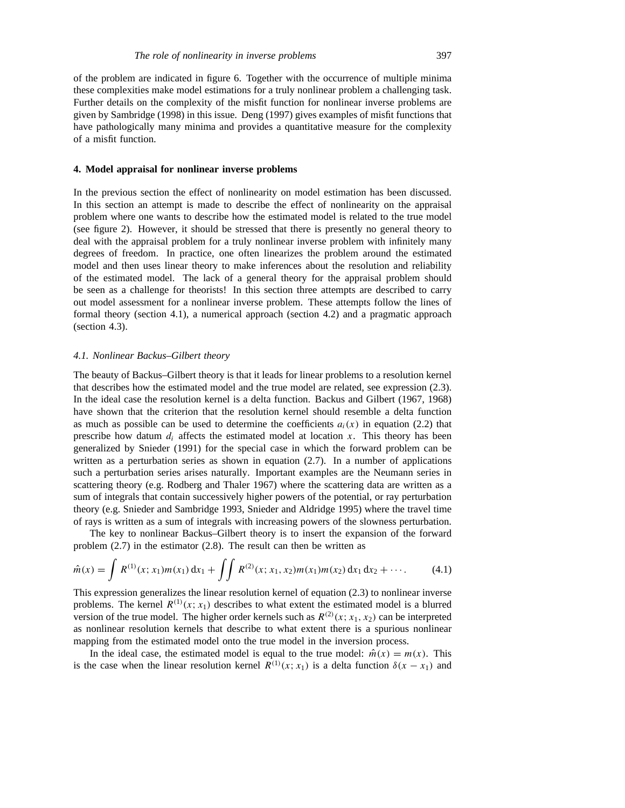of the problem are indicated in figure 6. Together with the occurrence of multiple minima these complexities make model estimations for a truly nonlinear problem a challenging task. Further details on the complexity of the misfit function for nonlinear inverse problems are given by Sambridge (1998) in this issue. Deng (1997) gives examples of misfit functions that have pathologically many minima and provides a quantitative measure for the complexity of a misfit function.

#### **4. Model appraisal for nonlinear inverse problems**

In the previous section the effect of nonlinearity on model estimation has been discussed. In this section an attempt is made to describe the effect of nonlinearity on the appraisal problem where one wants to describe how the estimated model is related to the true model (see figure 2). However, it should be stressed that there is presently no general theory to deal with the appraisal problem for a truly nonlinear inverse problem with infinitely many degrees of freedom. In practice, one often linearizes the problem around the estimated model and then uses linear theory to make inferences about the resolution and reliability of the estimated model. The lack of a general theory for the appraisal problem should be seen as a challenge for theorists! In this section three attempts are described to carry out model assessment for a nonlinear inverse problem. These attempts follow the lines of formal theory (section 4.1), a numerical approach (section 4.2) and a pragmatic approach (section 4.3).

#### *4.1. Nonlinear Backus–Gilbert theory*

The beauty of Backus–Gilbert theory is that it leads for linear problems to a resolution kernel that describes how the estimated model and the true model are related, see expression (2.3). In the ideal case the resolution kernel is a delta function. Backus and Gilbert (1967, 1968) have shown that the criterion that the resolution kernel should resemble a delta function as much as possible can be used to determine the coefficients  $a_i(x)$  in equation (2.2) that prescribe how datum  $d_i$  affects the estimated model at location  $x$ . This theory has been generalized by Snieder (1991) for the special case in which the forward problem can be written as a perturbation series as shown in equation (2.7). In a number of applications such a perturbation series arises naturally. Important examples are the Neumann series in scattering theory (e.g. Rodberg and Thaler 1967) where the scattering data are written as a sum of integrals that contain successively higher powers of the potential, or ray perturbation theory (e.g. Snieder and Sambridge 1993, Snieder and Aldridge 1995) where the travel time of rays is written as a sum of integrals with increasing powers of the slowness perturbation.

The key to nonlinear Backus–Gilbert theory is to insert the expansion of the forward problem (2.7) in the estimator (2.8). The result can then be written as

$$
\hat{m}(x) = \int R^{(1)}(x; x_1) m(x_1) dx_1 + \int \int R^{(2)}(x; x_1, x_2) m(x_1) m(x_2) dx_1 dx_2 + \cdots
$$
 (4.1)

This expression generalizes the linear resolution kernel of equation (2.3) to nonlinear inverse problems. The kernel  $R^{(1)}(x; x_1)$  describes to what extent the estimated model is a blurred version of the true model. The higher order kernels such as  $R^{(2)}(x; x_1, x_2)$  can be interpreted as nonlinear resolution kernels that describe to what extent there is a spurious nonlinear mapping from the estimated model onto the true model in the inversion process.

In the ideal case, the estimated model is equal to the true model:  $\hat{m}(x) = m(x)$ . This is the case when the linear resolution kernel  $R^{(1)}(x; x_1)$  is a delta function  $\delta(x - x_1)$  and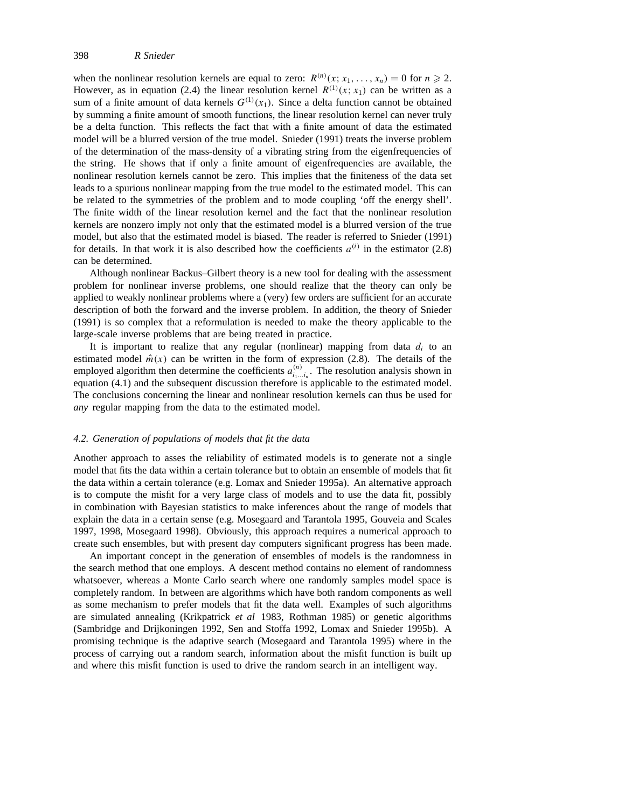when the nonlinear resolution kernels are equal to zero:  $R^{(n)}(x; x_1, \ldots, x_n) = 0$  for  $n \ge 2$ . However, as in equation (2.4) the linear resolution kernel  $R^{(1)}(x; x_1)$  can be written as a sum of a finite amount of data kernels  $G^{(1)}(x_1)$ . Since a delta function cannot be obtained by summing a finite amount of smooth functions, the linear resolution kernel can never truly be a delta function. This reflects the fact that with a finite amount of data the estimated model will be a blurred version of the true model. Snieder (1991) treats the inverse problem of the determination of the mass-density of a vibrating string from the eigenfrequencies of the string. He shows that if only a finite amount of eigenfrequencies are available, the nonlinear resolution kernels cannot be zero. This implies that the finiteness of the data set leads to a spurious nonlinear mapping from the true model to the estimated model. This can be related to the symmetries of the problem and to mode coupling 'off the energy shell'. The finite width of the linear resolution kernel and the fact that the nonlinear resolution kernels are nonzero imply not only that the estimated model is a blurred version of the true model, but also that the estimated model is biased. The reader is referred to Snieder (1991) for details. In that work it is also described how the coefficients  $a^{(i)}$  in the estimator (2.8) can be determined.

Although nonlinear Backus–Gilbert theory is a new tool for dealing with the assessment problem for nonlinear inverse problems, one should realize that the theory can only be applied to weakly nonlinear problems where a (very) few orders are sufficient for an accurate description of both the forward and the inverse problem. In addition, the theory of Snieder (1991) is so complex that a reformulation is needed to make the theory applicable to the large-scale inverse problems that are being treated in practice.

It is important to realize that any regular (nonlinear) mapping from data  $d_i$  to an estimated model  $\hat{m}(x)$  can be written in the form of expression (2.8). The details of the employed algorithm then determine the coefficients  $a_{i_1...i_n}^{(n)}$ . The resolution analysis shown in equation (4.1) and the subsequent discussion therefore is applicable to the estimated model. The conclusions concerning the linear and nonlinear resolution kernels can thus be used for *any* regular mapping from the data to the estimated model.

### *4.2. Generation of populations of models that fit the data*

Another approach to asses the reliability of estimated models is to generate not a single model that fits the data within a certain tolerance but to obtain an ensemble of models that fit the data within a certain tolerance (e.g. Lomax and Snieder 1995a). An alternative approach is to compute the misfit for a very large class of models and to use the data fit, possibly in combination with Bayesian statistics to make inferences about the range of models that explain the data in a certain sense (e.g. Mosegaard and Tarantola 1995, Gouveia and Scales 1997, 1998, Mosegaard 1998). Obviously, this approach requires a numerical approach to create such ensembles, but with present day computers significant progress has been made.

An important concept in the generation of ensembles of models is the randomness in the search method that one employs. A descent method contains no element of randomness whatsoever, whereas a Monte Carlo search where one randomly samples model space is completely random. In between are algorithms which have both random components as well as some mechanism to prefer models that fit the data well. Examples of such algorithms are simulated annealing (Krikpatrick *et al* 1983, Rothman 1985) or genetic algorithms (Sambridge and Drijkoningen 1992, Sen and Stoffa 1992, Lomax and Snieder 1995b). A promising technique is the adaptive search (Mosegaard and Tarantola 1995) where in the process of carrying out a random search, information about the misfit function is built up and where this misfit function is used to drive the random search in an intelligent way.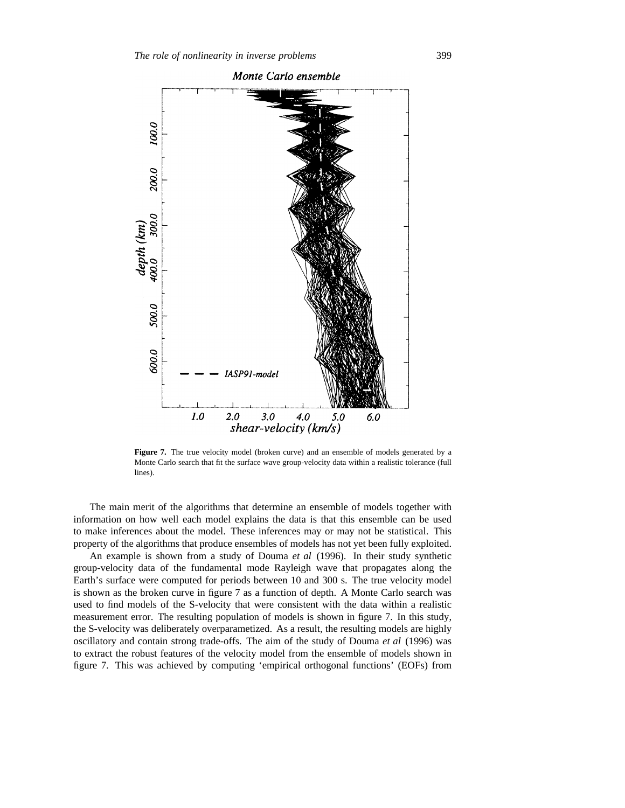

**Figure 7.** The true velocity model (broken curve) and an ensemble of models generated by a Monte Carlo search that fit the surface wave group-velocity data within a realistic tolerance (full lines).

The main merit of the algorithms that determine an ensemble of models together with information on how well each model explains the data is that this ensemble can be used to make inferences about the model. These inferences may or may not be statistical. This property of the algorithms that produce ensembles of models has not yet been fully exploited.

An example is shown from a study of Douma *et al* (1996). In their study synthetic group-velocity data of the fundamental mode Rayleigh wave that propagates along the Earth's surface were computed for periods between 10 and 300 s. The true velocity model is shown as the broken curve in figure 7 as a function of depth. A Monte Carlo search was used to find models of the S-velocity that were consistent with the data within a realistic measurement error. The resulting population of models is shown in figure 7. In this study, the S-velocity was deliberately overparametized. As a result, the resulting models are highly oscillatory and contain strong trade-offs. The aim of the study of Douma *et al* (1996) was to extract the robust features of the velocity model from the ensemble of models shown in figure 7. This was achieved by computing 'empirical orthogonal functions' (EOFs) from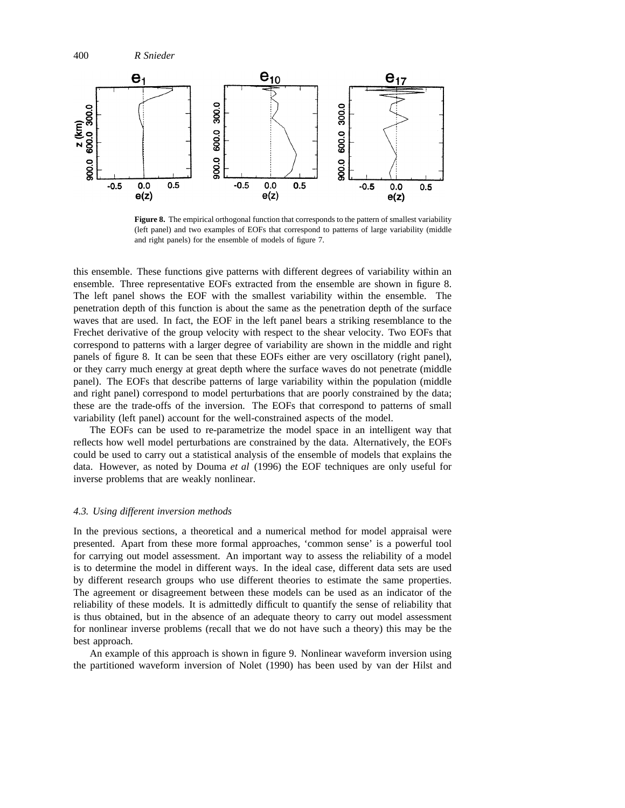

Figure 8. The empirical orthogonal function that corresponds to the pattern of smallest variability (left panel) and two examples of EOFs that correspond to patterns of large variability (middle and right panels) for the ensemble of models of figure 7.

this ensemble. These functions give patterns with different degrees of variability within an ensemble. Three representative EOFs extracted from the ensemble are shown in figure 8. The left panel shows the EOF with the smallest variability within the ensemble. The penetration depth of this function is about the same as the penetration depth of the surface waves that are used. In fact, the EOF in the left panel bears a striking resemblance to the Frechet derivative of the group velocity with respect to the shear velocity. Two EOFs that correspond to patterns with a larger degree of variability are shown in the middle and right panels of figure 8. It can be seen that these EOFs either are very oscillatory (right panel), or they carry much energy at great depth where the surface waves do not penetrate (middle panel). The EOFs that describe patterns of large variability within the population (middle and right panel) correspond to model perturbations that are poorly constrained by the data; these are the trade-offs of the inversion. The EOFs that correspond to patterns of small variability (left panel) account for the well-constrained aspects of the model.

The EOFs can be used to re-parametrize the model space in an intelligent way that reflects how well model perturbations are constrained by the data. Alternatively, the EOFs could be used to carry out a statistical analysis of the ensemble of models that explains the data. However, as noted by Douma *et al* (1996) the EOF techniques are only useful for inverse problems that are weakly nonlinear.

### *4.3. Using different inversion methods*

In the previous sections, a theoretical and a numerical method for model appraisal were presented. Apart from these more formal approaches, 'common sense' is a powerful tool for carrying out model assessment. An important way to assess the reliability of a model is to determine the model in different ways. In the ideal case, different data sets are used by different research groups who use different theories to estimate the same properties. The agreement or disagreement between these models can be used as an indicator of the reliability of these models. It is admittedly difficult to quantify the sense of reliability that is thus obtained, but in the absence of an adequate theory to carry out model assessment for nonlinear inverse problems (recall that we do not have such a theory) this may be the best approach.

An example of this approach is shown in figure 9. Nonlinear waveform inversion using the partitioned waveform inversion of Nolet (1990) has been used by van der Hilst and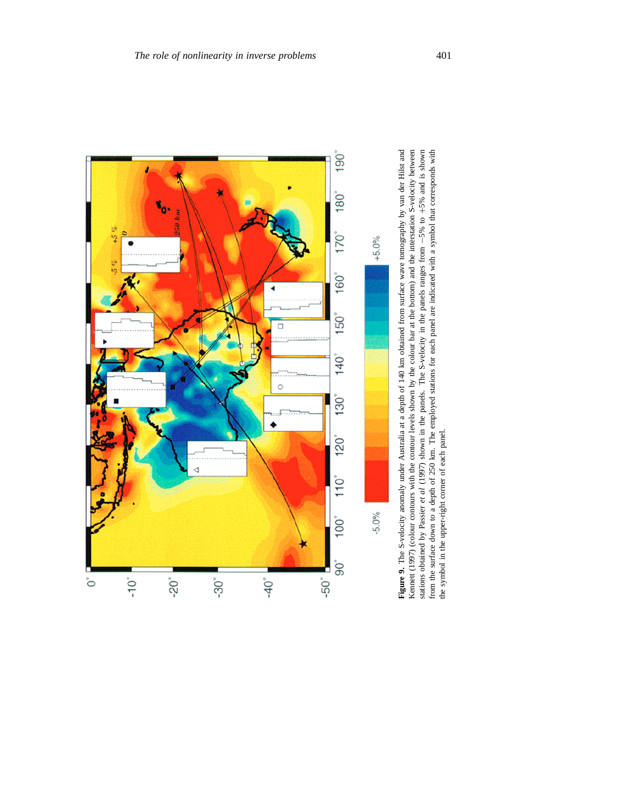

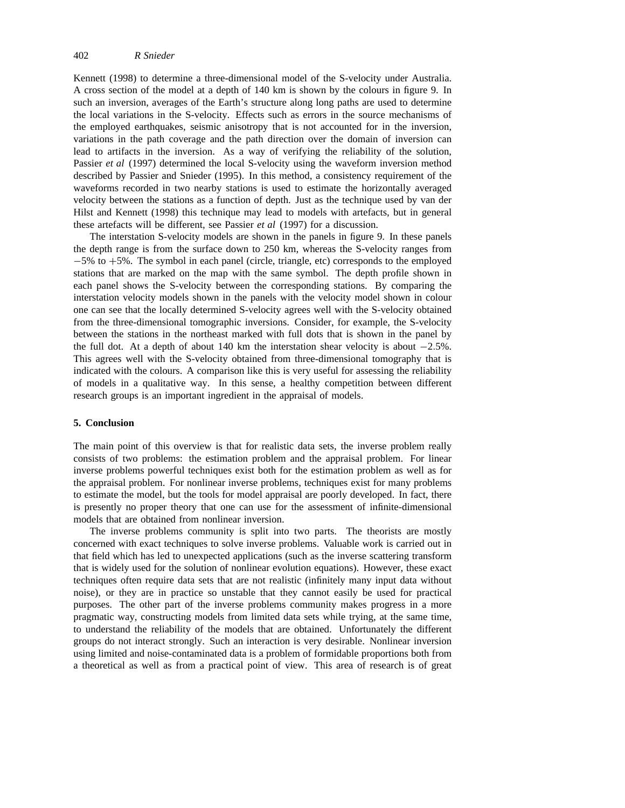Kennett (1998) to determine a three-dimensional model of the S-velocity under Australia. A cross section of the model at a depth of 140 km is shown by the colours in figure 9. In such an inversion, averages of the Earth's structure along long paths are used to determine the local variations in the S-velocity. Effects such as errors in the source mechanisms of the employed earthquakes, seismic anisotropy that is not accounted for in the inversion, variations in the path coverage and the path direction over the domain of inversion can lead to artifacts in the inversion. As a way of verifying the reliability of the solution, Passier *et al* (1997) determined the local S-velocity using the waveform inversion method described by Passier and Snieder (1995). In this method, a consistency requirement of the waveforms recorded in two nearby stations is used to estimate the horizontally averaged velocity between the stations as a function of depth. Just as the technique used by van der Hilst and Kennett (1998) this technique may lead to models with artefacts, but in general these artefacts will be different, see Passier *et al* (1997) for a discussion.

The interstation S-velocity models are shown in the panels in figure 9. In these panels the depth range is from the surface down to 250 km, whereas the S-velocity ranges from −5% to +5%. The symbol in each panel (circle, triangle, etc) corresponds to the employed stations that are marked on the map with the same symbol. The depth profile shown in each panel shows the S-velocity between the corresponding stations. By comparing the interstation velocity models shown in the panels with the velocity model shown in colour one can see that the locally determined S-velocity agrees well with the S-velocity obtained from the three-dimensional tomographic inversions. Consider, for example, the S-velocity between the stations in the northeast marked with full dots that is shown in the panel by the full dot. At a depth of about 140 km the interstation shear velocity is about −2*.*5%. This agrees well with the S-velocity obtained from three-dimensional tomography that is indicated with the colours. A comparison like this is very useful for assessing the reliability of models in a qualitative way. In this sense, a healthy competition between different research groups is an important ingredient in the appraisal of models.

#### **5. Conclusion**

The main point of this overview is that for realistic data sets, the inverse problem really consists of two problems: the estimation problem and the appraisal problem. For linear inverse problems powerful techniques exist both for the estimation problem as well as for the appraisal problem. For nonlinear inverse problems, techniques exist for many problems to estimate the model, but the tools for model appraisal are poorly developed. In fact, there is presently no proper theory that one can use for the assessment of infinite-dimensional models that are obtained from nonlinear inversion.

The inverse problems community is split into two parts. The theorists are mostly concerned with exact techniques to solve inverse problems. Valuable work is carried out in that field which has led to unexpected applications (such as the inverse scattering transform that is widely used for the solution of nonlinear evolution equations). However, these exact techniques often require data sets that are not realistic (infinitely many input data without noise), or they are in practice so unstable that they cannot easily be used for practical purposes. The other part of the inverse problems community makes progress in a more pragmatic way, constructing models from limited data sets while trying, at the same time, to understand the reliability of the models that are obtained. Unfortunately the different groups do not interact strongly. Such an interaction is very desirable. Nonlinear inversion using limited and noise-contaminated data is a problem of formidable proportions both from a theoretical as well as from a practical point of view. This area of research is of great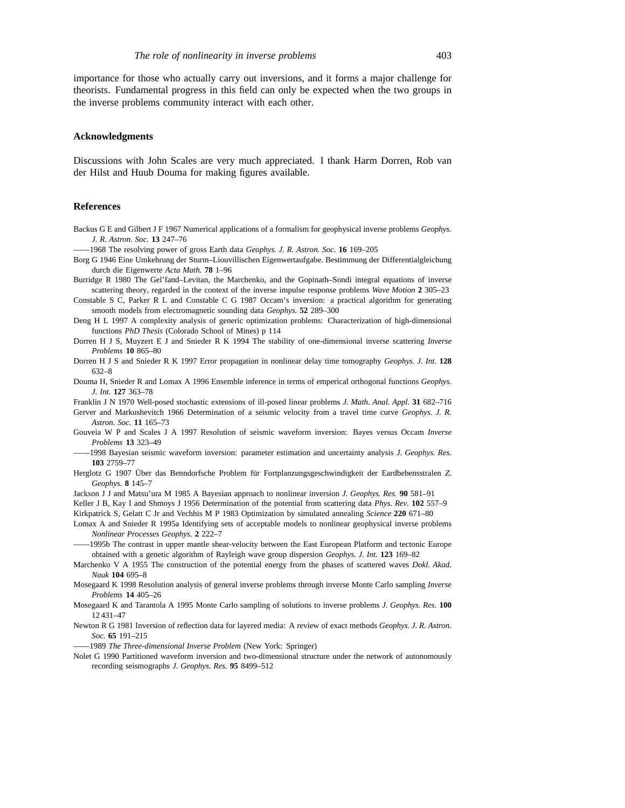importance for those who actually carry out inversions, and it forms a major challenge for theorists. Fundamental progress in this field can only be expected when the two groups in the inverse problems community interact with each other.

#### **Acknowledgments**

Discussions with John Scales are very much appreciated. I thank Harm Dorren, Rob van der Hilst and Huub Douma for making figures available.

#### **References**

- Backus G E and Gilbert J F 1967 Numerical applications of a formalism for geophysical inverse problems *Geophys. J. R. Astron. Soc.* **13** 247–76
- ——1968 The resolving power of gross Earth data *Geophys. J. R. Astron. Soc.* **16** 169–205
- Borg G 1946 Eine Umkehrung der Sturm–Liouvillischen Eigenwertaufgabe. Bestimmung der Differentialgleichung durch die Eigenwerte *Acta Math.* **78** 1–96
- Burridge R 1980 The Gel'fand–Levitan, the Marchenko, and the Gopinath–Sondi integral equations of inverse scattering theory, regarded in the context of the inverse impulse response problems *Wave Motion* **2** 305–23

Constable S C, Parker R L and Constable C G 1987 Occam's inversion: a practical algorithm for generating smooth models from electromagnetic sounding data *Geophys.* **52** 289–300

- Deng H L 1997 A complexity analysis of generic optimization problems: Characterization of high-dimensional functions *PhD Thesis* (Colorado School of Mines) p 114
- Dorren H J S, Muyzert E J and Snieder R K 1994 The stability of one-dimensional inverse scattering *Inverse Problems* **10** 865–80

Dorren H J S and Snieder R K 1997 Error propagation in nonlinear delay time tomography *Geophys. J. Int.* **128** 632–8

Douma H, Snieder R and Lomax A 1996 Ensemble inference in terms of emperical orthogonal functions *Geophys. J. Int.* **127** 363–78

Franklin J N 1970 Well-posed stochastic extensions of ill-posed linear problems *J. Math. Anal. Appl.* **31** 682–716 Gerver and Markushevitch 1966 Determination of a seismic velocity from a travel time curve *Geophys. J. R. Astron. Soc.* **11** 165–73

- Gouveia W P and Scales J A 1997 Resolution of seismic waveform inversion: Bayes versus Occam *Inverse Problems* **13** 323–49
- ——1998 Bayesian seismic waveform inversion: parameter estimation and uncertainty analysis *J. Geophys. Res.* **103** 2759–77
- Herglotz G 1907 Über das Benndorfsche Problem für Fortplanzungsgeschwindigkeit der Eardbebensstralen Z. *Geophys.* **8** 145–7
- Jackson J J and Matsu'ura M 1985 A Bayesian approach to nonlinear inversion *J. Geophys. Res.* **90** 581–91

Keller J B, Kay I and Shmoys J 1956 Determination of the potential from scattering data *Phys. Rev.* **102** 557–9

Kirkpatrick S, Gelatt C Jr and Vechhis M P 1983 Optimization by simulated annealing *Science* **220** 671–80

Lomax A and Snieder R 1995a Identifying sets of acceptable models to nonlinear geophysical inverse problems *Nonlinear Processes Geophys.* **2** 222–7

1995b The contrast in upper mantle shear-velocity between the East European Platform and tectonic Europe obtained with a genetic algorithm of Rayleigh wave group dispersion *Geophys. J. Int.* **123** 169–82

Marchenko V A 1955 The construction of the potential energy from the phases of scattered waves *Dokl. Akad. Nauk* **104** 695–8

Mosegaard K 1998 Resolution analysis of general inverse problems through inverse Monte Carlo sampling *Inverse Problems* **14** 405–26

Mosegaard K and Tarantola A 1995 Monte Carlo sampling of solutions to inverse problems *J. Geophys. Res.* **100** 12 431–47

Newton R G 1981 Inversion of reflection data for layered media: A review of exact methods *Geophys. J. R. Astron. Soc.* **65** 191–215

——1989 *The Three-dimensional Inverse Problem* (New York: Springer)

Nolet G 1990 Partitioned waveform inversion and two-dimensional structure under the network of autonomously recording seismographs *J. Geophys. Res.* **95** 8499–512